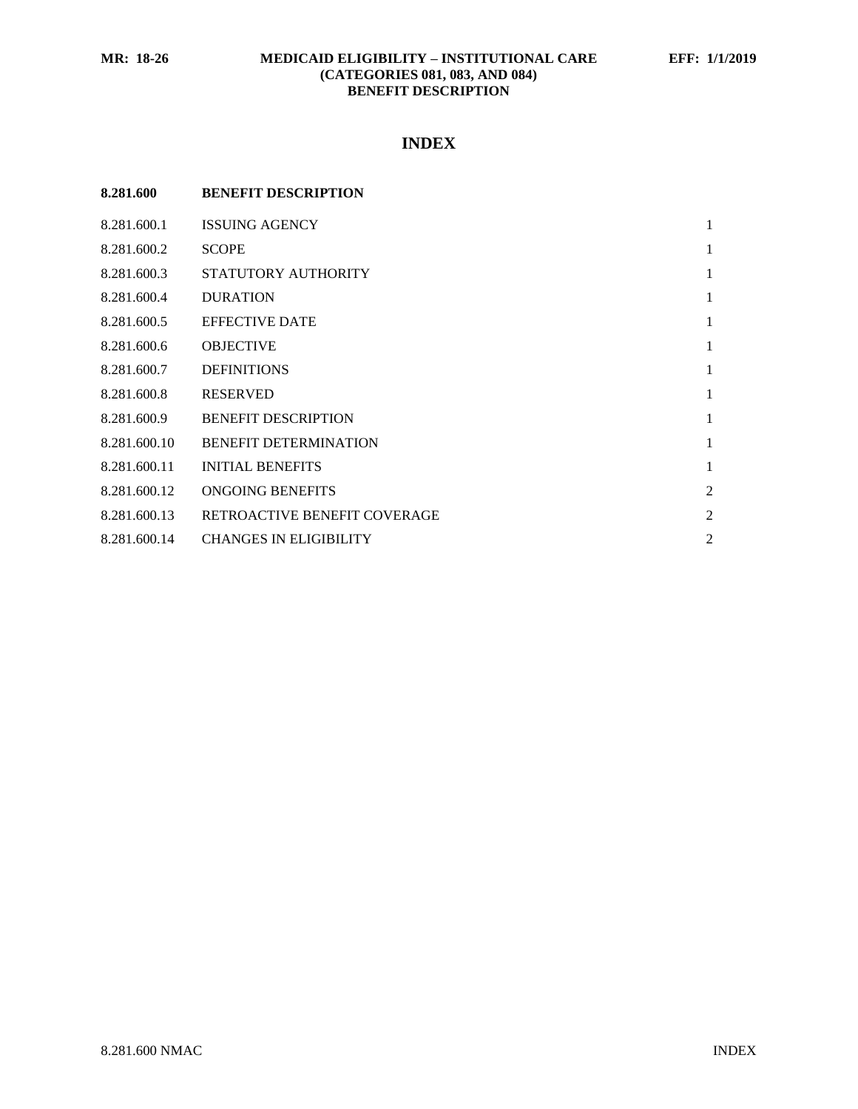## **MR: 18-26 MEDICAID ELIGIBILITY – INSTITUTIONAL CARE EFF: 1/1/2019 (CATEGORIES 081, 083, AND 084) BENEFIT DESCRIPTION**

# **INDEX**

| 8.281.600    | <b>BENEFIT DESCRIPTION</b>    |                |
|--------------|-------------------------------|----------------|
| 8.281.600.1  | <b>ISSUING AGENCY</b>         | $\mathbf{1}$   |
| 8.281.600.2  | <b>SCOPE</b>                  | 1              |
| 8.281.600.3  | STATUTORY AUTHORITY           | $\mathbf{1}$   |
| 8.281.600.4  | <b>DURATION</b>               | $\mathbf{1}$   |
| 8.281.600.5  | <b>EFFECTIVE DATE</b>         | $\mathbf{1}$   |
| 8.281.600.6  | <b>OBJECTIVE</b>              | $\mathbf{1}$   |
| 8.281.600.7  | <b>DEFINITIONS</b>            | $\mathbf{1}$   |
| 8.281.600.8  | <b>RESERVED</b>               | $\mathbf{1}$   |
| 8.281.600.9  | <b>BENEFIT DESCRIPTION</b>    | $\mathbf{1}$   |
| 8.281.600.10 | <b>BENEFIT DETERMINATION</b>  | $\mathbf{1}$   |
| 8.281.600.11 | <b>INITIAL BENEFITS</b>       | $\mathbf{1}$   |
| 8.281.600.12 | ONGOING BENEFITS              | $\overline{2}$ |
| 8.281.600.13 | RETROACTIVE BENEFIT COVERAGE  | $\overline{2}$ |
| 8.281.600.14 | <b>CHANGES IN ELIGIBILITY</b> | $\overline{2}$ |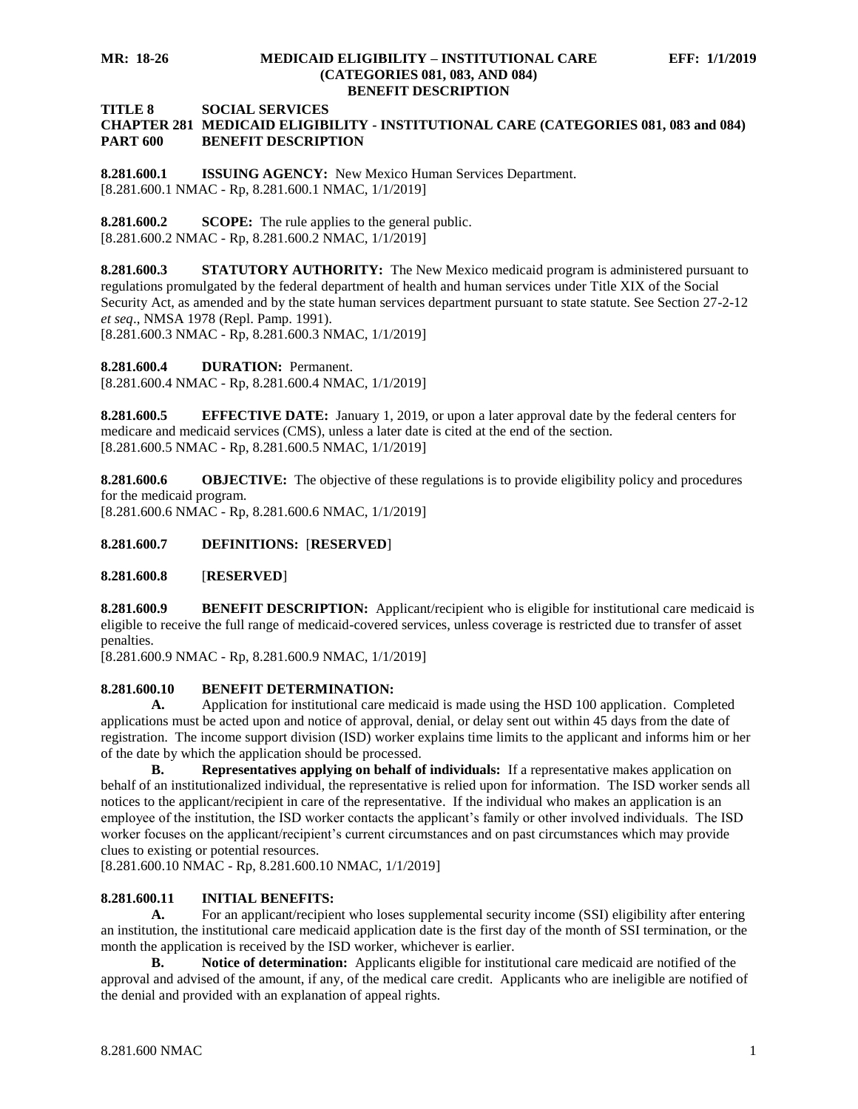#### **MR: 18-26 MEDICAID ELIGIBILITY – INSTITUTIONAL CARE EFF: 1/1/2019 (CATEGORIES 081, 083, AND 084) BENEFIT DESCRIPTION**

**TITLE 8 SOCIAL SERVICES**

### **CHAPTER 281 MEDICAID ELIGIBILITY - INSTITUTIONAL CARE (CATEGORIES 081, 083 and 084) PART 600 BENEFIT DESCRIPTION**

<span id="page-1-0"></span>**8.281.600.1 ISSUING AGENCY:** New Mexico Human Services Department. [8.281.600.1 NMAC - Rp, 8.281.600.1 NMAC, 1/1/2019]

<span id="page-1-1"></span>**8.281.600.2 SCOPE:** The rule applies to the general public. [8.281.600.2 NMAC - Rp, 8.281.600.2 NMAC, 1/1/2019]

<span id="page-1-2"></span>**8.281.600.3 STATUTORY AUTHORITY:** The New Mexico medicaid program is administered pursuant to regulations promulgated by the federal department of health and human services under Title XIX of the Social Security Act, as amended and by the state human services department pursuant to state statute. See Section 27-2-12 *et seq*., NMSA 1978 (Repl. Pamp. 1991).

[8.281.600.3 NMAC - Rp, 8.281.600.3 NMAC, 1/1/2019]

<span id="page-1-3"></span>**8.281.600.4 DURATION:** Permanent. [8.281.600.4 NMAC - Rp, 8.281.600.4 NMAC, 1/1/2019]

<span id="page-1-4"></span>**8.281.600.5 EFFECTIVE DATE:** January 1, 2019, or upon a later approval date by the federal centers for medicare and medicaid services (CMS), unless a later date is cited at the end of the section. [8.281.600.5 NMAC - Rp, 8.281.600.5 NMAC, 1/1/2019]

<span id="page-1-5"></span>**8.281.600.6 OBJECTIVE:** The objective of these regulations is to provide eligibility policy and procedures for the medicaid program.

[8.281.600.6 NMAC - Rp, 8.281.600.6 NMAC, 1/1/2019]

<span id="page-1-6"></span>**8.281.600.7 DEFINITIONS:** [**RESERVED**]

<span id="page-1-7"></span>**8.281.600.8** [**RESERVED**]

<span id="page-1-8"></span>**8.281.600.9 BENEFIT DESCRIPTION:** Applicant/recipient who is eligible for institutional care medicaid is eligible to receive the full range of medicaid-covered services, unless coverage is restricted due to transfer of asset penalties.

[8.281.600.9 NMAC - Rp, 8.281.600.9 NMAC, 1/1/2019]

## <span id="page-1-9"></span>**8.281.600.10 BENEFIT DETERMINATION:**

**A.** Application for institutional care medicaid is made using the HSD 100 application. Completed applications must be acted upon and notice of approval, denial, or delay sent out within 45 days from the date of registration. The income support division (ISD) worker explains time limits to the applicant and informs him or her of the date by which the application should be processed.

**B. Representatives applying on behalf of individuals:** If a representative makes application on behalf of an institutionalized individual, the representative is relied upon for information. The ISD worker sends all notices to the applicant/recipient in care of the representative. If the individual who makes an application is an employee of the institution, the ISD worker contacts the applicant's family or other involved individuals. The ISD worker focuses on the applicant/recipient's current circumstances and on past circumstances which may provide clues to existing or potential resources.

[8.281.600.10 NMAC - Rp, 8.281.600.10 NMAC, 1/1/2019]

## <span id="page-1-10"></span>**8.281.600.11 INITIAL BENEFITS:**

**A.** For an applicant/recipient who loses supplemental security income (SSI) eligibility after entering an institution, the institutional care medicaid application date is the first day of the month of SSI termination, or the month the application is received by the ISD worker, whichever is earlier.

**B. Notice of determination:** Applicants eligible for institutional care medicaid are notified of the approval and advised of the amount, if any, of the medical care credit. Applicants who are ineligible are notified of the denial and provided with an explanation of appeal rights.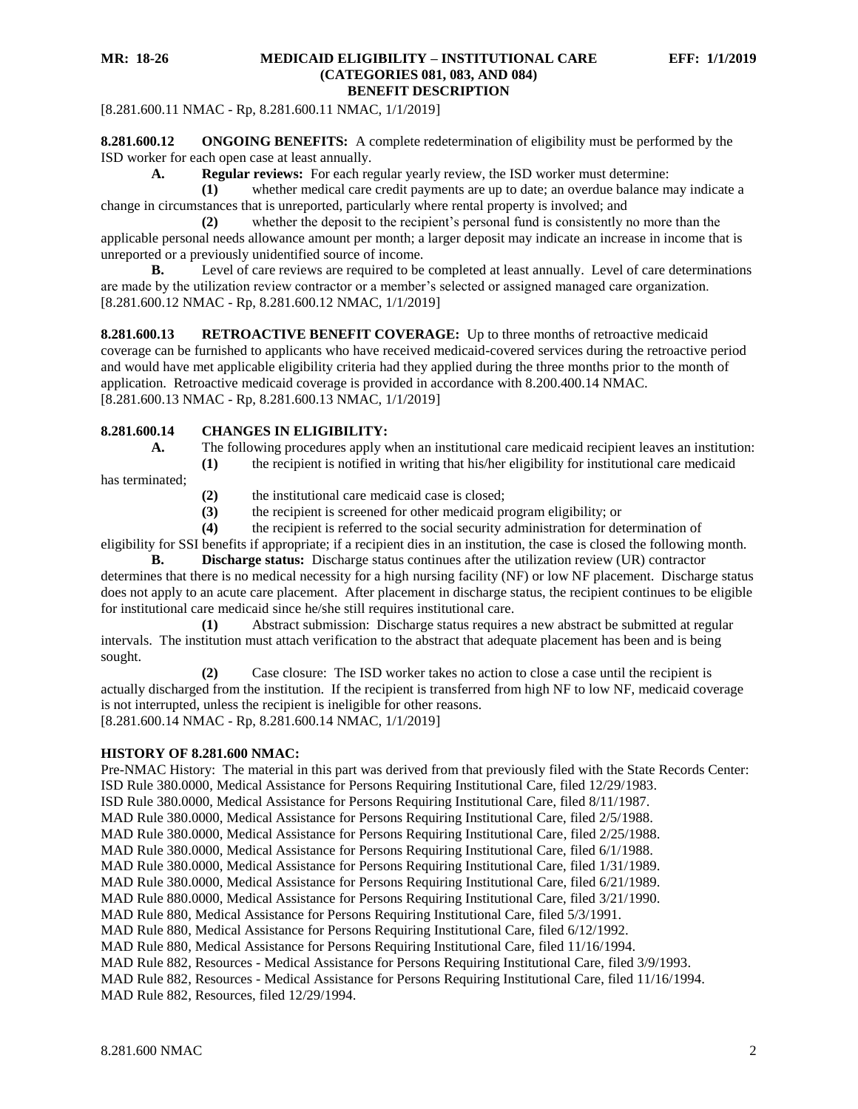[8.281.600.11 NMAC - Rp, 8.281.600.11 NMAC, 1/1/2019]

<span id="page-2-0"></span>**8.281.600.12 ONGOING BENEFITS:** A complete redetermination of eligibility must be performed by the ISD worker for each open case at least annually.

**A. Regular reviews:** For each regular yearly review, the ISD worker must determine:

**(1)** whether medical care credit payments are up to date; an overdue balance may indicate a change in circumstances that is unreported, particularly where rental property is involved; and

**(2)** whether the deposit to the recipient's personal fund is consistently no more than the applicable personal needs allowance amount per month; a larger deposit may indicate an increase in income that is unreported or a previously unidentified source of income.

**B.** Level of care reviews are required to be completed at least annually. Level of care determinations are made by the utilization review contractor or a member's selected or assigned managed care organization. [8.281.600.12 NMAC - Rp, 8.281.600.12 NMAC, 1/1/2019]

<span id="page-2-1"></span>**8.281.600.13 RETROACTIVE BENEFIT COVERAGE:** Up to three months of retroactive medicaid coverage can be furnished to applicants who have received medicaid-covered services during the retroactive period and would have met applicable eligibility criteria had they applied during the three months prior to the month of application. Retroactive medicaid coverage is provided in accordance with 8.200.400.14 NMAC. [8.281.600.13 NMAC - Rp, 8.281.600.13 NMAC, 1/1/2019]

## <span id="page-2-2"></span>**8.281.600.14 CHANGES IN ELIGIBILITY:**

- - **A.** The following procedures apply when an institutional care medicaid recipient leaves an institution: **(1)** the recipient is notified in writing that his/her eligibility for institutional care medicaid

has terminated;

- **(2)** the institutional care medicaid case is closed;
- **(3)** the recipient is screened for other medicaid program eligibility; or

**(4)** the recipient is referred to the social security administration for determination of eligibility for SSI benefits if appropriate; if a recipient dies in an institution, the case is closed the following month.

**B. Discharge status:** Discharge status continues after the utilization review (UR) contractor determines that there is no medical necessity for a high nursing facility (NF) or low NF placement. Discharge status does not apply to an acute care placement. After placement in discharge status, the recipient continues to be eligible for institutional care medicaid since he/she still requires institutional care.

**(1)** Abstract submission: Discharge status requires a new abstract be submitted at regular intervals. The institution must attach verification to the abstract that adequate placement has been and is being sought.

**(2)** Case closure: The ISD worker takes no action to close a case until the recipient is actually discharged from the institution. If the recipient is transferred from high NF to low NF, medicaid coverage is not interrupted, unless the recipient is ineligible for other reasons. [8.281.600.14 NMAC - Rp, 8.281.600.14 NMAC, 1/1/2019]

#### **HISTORY OF 8.281.600 NMAC:**

Pre-NMAC History: The material in this part was derived from that previously filed with the State Records Center: ISD Rule 380.0000, Medical Assistance for Persons Requiring Institutional Care, filed 12/29/1983. ISD Rule 380.0000, Medical Assistance for Persons Requiring Institutional Care, filed 8/11/1987. MAD Rule 380.0000, Medical Assistance for Persons Requiring Institutional Care, filed 2/5/1988. MAD Rule 380.0000, Medical Assistance for Persons Requiring Institutional Care, filed 2/25/1988. MAD Rule 380.0000, Medical Assistance for Persons Requiring Institutional Care, filed 6/1/1988. MAD Rule 380.0000, Medical Assistance for Persons Requiring Institutional Care, filed 1/31/1989. MAD Rule 380.0000, Medical Assistance for Persons Requiring Institutional Care, filed 6/21/1989. MAD Rule 880.0000, Medical Assistance for Persons Requiring Institutional Care, filed 3/21/1990. MAD Rule 880, Medical Assistance for Persons Requiring Institutional Care, filed 5/3/1991. MAD Rule 880, Medical Assistance for Persons Requiring Institutional Care, filed 6/12/1992. MAD Rule 880, Medical Assistance for Persons Requiring Institutional Care, filed 11/16/1994. MAD Rule 882, Resources - Medical Assistance for Persons Requiring Institutional Care, filed 3/9/1993. MAD Rule 882, Resources - Medical Assistance for Persons Requiring Institutional Care, filed 11/16/1994. MAD Rule 882, Resources, filed 12/29/1994.